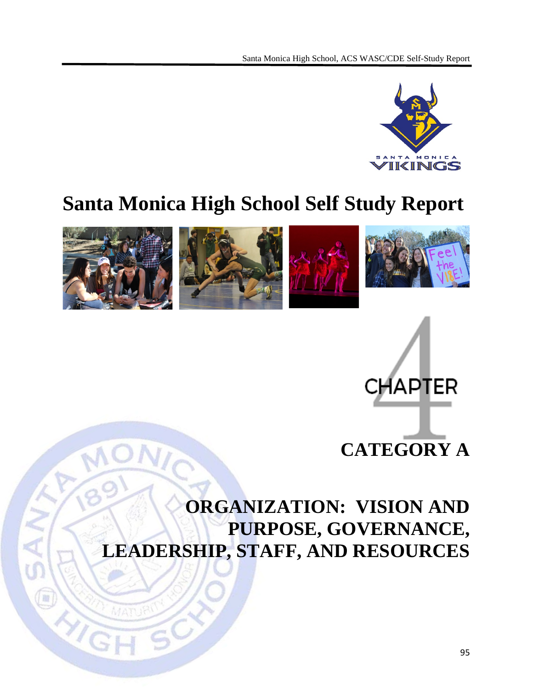

# **Santa Monica High School Self Study Report**





# **ORGANIZATION: VISION AND PURPOSE, GOVERNANCE, LEADERSHIP, STAFF, AND RESOURCES**

 $\left(\frac{1}{2}\right)$ 

 $\sqrt{2}$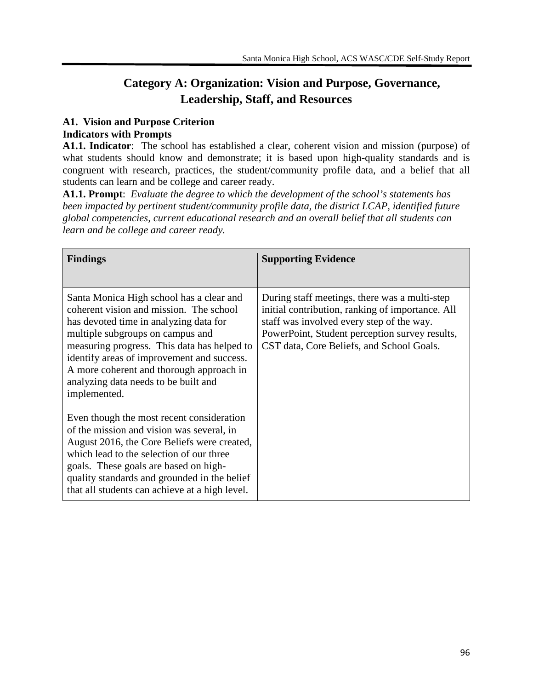# **Category A: Organization: Vision and Purpose, Governance, Leadership, Staff, and Resources**

# **A1. Vision and Purpose Criterion**

## **Indicators with Prompts**

**A1.1. Indicator**: The school has established a clear, coherent vision and mission (purpose) of what students should know and demonstrate; it is based upon high-quality standards and is congruent with research, practices, the student/community profile data, and a belief that all students can learn and be college and career ready.

**A1.1. Prompt**: *Evaluate the degree to which the development of the school's statements has been impacted by pertinent student/community profile data, the district LCAP, identified future global competencies, current educational research and an overall belief that all students can learn and be college and career ready.*

| <b>Findings</b>                                                                                                                                                                                                                                                                                                                                                    | <b>Supporting Evidence</b>                                                                                                                                                                                                                    |
|--------------------------------------------------------------------------------------------------------------------------------------------------------------------------------------------------------------------------------------------------------------------------------------------------------------------------------------------------------------------|-----------------------------------------------------------------------------------------------------------------------------------------------------------------------------------------------------------------------------------------------|
| Santa Monica High school has a clear and<br>coherent vision and mission. The school<br>has devoted time in analyzing data for<br>multiple subgroups on campus and<br>measuring progress. This data has helped to<br>identify areas of improvement and success.<br>A more coherent and thorough approach in<br>analyzing data needs to be built and<br>implemented. | During staff meetings, there was a multi-step<br>initial contribution, ranking of importance. All<br>staff was involved every step of the way.<br>PowerPoint, Student perception survey results,<br>CST data, Core Beliefs, and School Goals. |
| Even though the most recent consideration<br>of the mission and vision was several, in<br>August 2016, the Core Beliefs were created,<br>which lead to the selection of our three<br>goals. These goals are based on high-<br>quality standards and grounded in the belief<br>that all students can achieve at a high level.                                       |                                                                                                                                                                                                                                               |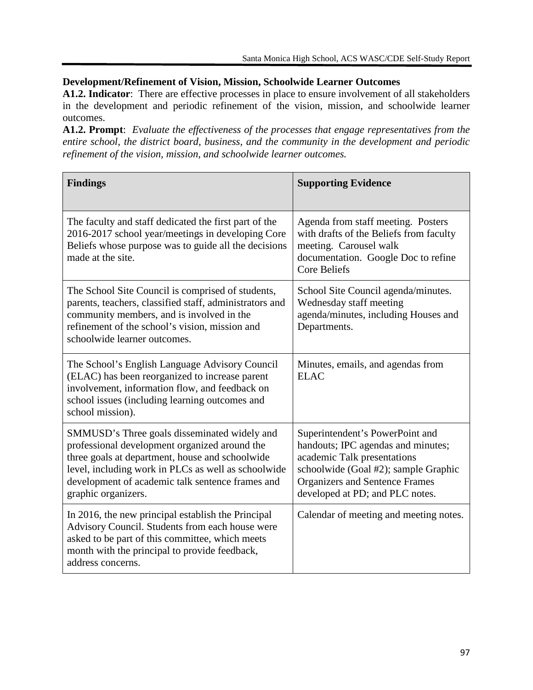# **Development/Refinement of Vision, Mission, Schoolwide Learner Outcomes**

**A1.2. Indicator**: There are effective processes in place to ensure involvement of all stakeholders in the development and periodic refinement of the vision, mission, and schoolwide learner outcomes.

**A1.2. Prompt**: *Evaluate the effectiveness of the processes that engage representatives from the entire school, the district board, business, and the community in the development and periodic refinement of the vision, mission, and schoolwide learner outcomes.*

| <b>Findings</b>                                                                                                                                                                                                                                                                    | <b>Supporting Evidence</b>                                                                                                                                                                                               |
|------------------------------------------------------------------------------------------------------------------------------------------------------------------------------------------------------------------------------------------------------------------------------------|--------------------------------------------------------------------------------------------------------------------------------------------------------------------------------------------------------------------------|
| The faculty and staff dedicated the first part of the<br>2016-2017 school year/meetings in developing Core<br>Beliefs whose purpose was to guide all the decisions<br>made at the site.                                                                                            | Agenda from staff meeting. Posters<br>with drafts of the Beliefs from faculty<br>meeting. Carousel walk<br>documentation. Google Doc to refine<br><b>Core Beliefs</b>                                                    |
| The School Site Council is comprised of students,<br>parents, teachers, classified staff, administrators and<br>community members, and is involved in the<br>refinement of the school's vision, mission and<br>schoolwide learner outcomes.                                        | School Site Council agenda/minutes.<br>Wednesday staff meeting<br>agenda/minutes, including Houses and<br>Departments.                                                                                                   |
| The School's English Language Advisory Council<br>(ELAC) has been reorganized to increase parent<br>involvement, information flow, and feedback on<br>school issues (including learning outcomes and<br>school mission).                                                           | Minutes, emails, and agendas from<br><b>ELAC</b>                                                                                                                                                                         |
| SMMUSD's Three goals disseminated widely and<br>professional development organized around the<br>three goals at department, house and schoolwide<br>level, including work in PLCs as well as schoolwide<br>development of academic talk sentence frames and<br>graphic organizers. | Superintendent's PowerPoint and<br>handouts; IPC agendas and minutes;<br>academic Talk presentations<br>schoolwide (Goal #2); sample Graphic<br><b>Organizers and Sentence Frames</b><br>developed at PD; and PLC notes. |
| In 2016, the new principal establish the Principal<br>Advisory Council. Students from each house were<br>asked to be part of this committee, which meets<br>month with the principal to provide feedback,<br>address concerns.                                                     | Calendar of meeting and meeting notes.                                                                                                                                                                                   |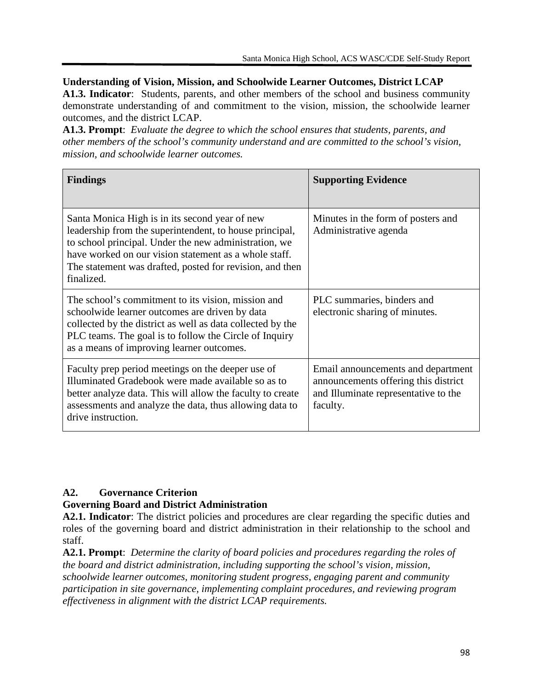**Understanding of Vision, Mission, and Schoolwide Learner Outcomes, District LCAP**

**A1.3. Indicator**: Students, parents, and other members of the school and business community demonstrate understanding of and commitment to the vision, mission, the schoolwide learner outcomes, and the district LCAP.

**A1.3. Prompt**: *Evaluate the degree to which the school ensures that students, parents, and other members of the school's community understand and are committed to the school's vision, mission, and schoolwide learner outcomes.*

| <b>Findings</b>                                                                                                                                                                                                                                                                                       | <b>Supporting Evidence</b>                                                                                                     |
|-------------------------------------------------------------------------------------------------------------------------------------------------------------------------------------------------------------------------------------------------------------------------------------------------------|--------------------------------------------------------------------------------------------------------------------------------|
| Santa Monica High is in its second year of new<br>leadership from the superintendent, to house principal,<br>to school principal. Under the new administration, we<br>have worked on our vision statement as a whole staff.<br>The statement was drafted, posted for revision, and then<br>finalized. | Minutes in the form of posters and<br>Administrative agenda                                                                    |
| The school's commitment to its vision, mission and<br>schoolwide learner outcomes are driven by data<br>collected by the district as well as data collected by the<br>PLC teams. The goal is to follow the Circle of Inquiry<br>as a means of improving learner outcomes.                             | PLC summaries, binders and<br>electronic sharing of minutes.                                                                   |
| Faculty prep period meetings on the deeper use of<br>Illuminated Gradebook were made available so as to<br>better analyze data. This will allow the faculty to create<br>assessments and analyze the data, thus allowing data to<br>drive instruction.                                                | Email announcements and department<br>announcements offering this district<br>and Illuminate representative to the<br>faculty. |

## **A2. Governance Criterion**

## **Governing Board and District Administration**

**A2.1. Indicator**: The district policies and procedures are clear regarding the specific duties and roles of the governing board and district administration in their relationship to the school and staff.

**A2.1. Prompt**: *Determine the clarity of board policies and procedures regarding the roles of the board and district administration, including supporting the school's vision, mission, schoolwide learner outcomes, monitoring student progress, engaging parent and community participation in site governance, implementing complaint procedures, and reviewing program effectiveness in alignment with the district LCAP requirements.*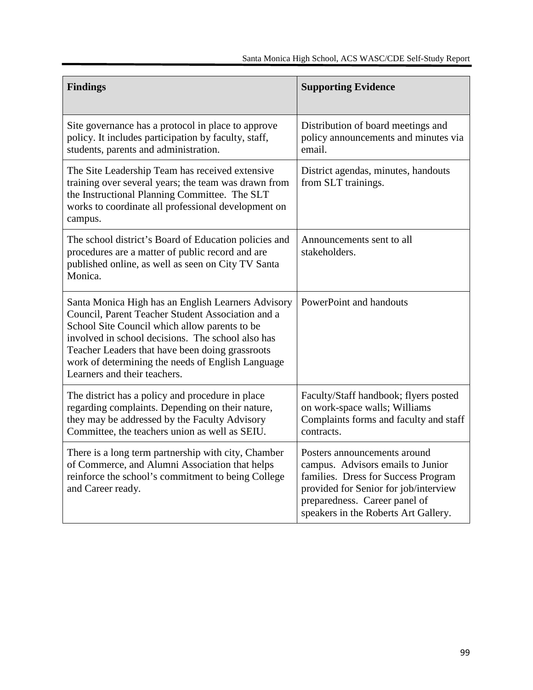| <b>Findings</b>                                                                                                                                                                                                                                                                                                                                       | <b>Supporting Evidence</b>                                                                                                                                                                                                 |
|-------------------------------------------------------------------------------------------------------------------------------------------------------------------------------------------------------------------------------------------------------------------------------------------------------------------------------------------------------|----------------------------------------------------------------------------------------------------------------------------------------------------------------------------------------------------------------------------|
| Site governance has a protocol in place to approve<br>policy. It includes participation by faculty, staff,<br>students, parents and administration.                                                                                                                                                                                                   | Distribution of board meetings and<br>policy announcements and minutes via<br>email.                                                                                                                                       |
| The Site Leadership Team has received extensive<br>training over several years; the team was drawn from<br>the Instructional Planning Committee. The SLT<br>works to coordinate all professional development on<br>campus.                                                                                                                            | District agendas, minutes, handouts<br>from SLT trainings.                                                                                                                                                                 |
| The school district's Board of Education policies and<br>procedures are a matter of public record and are<br>published online, as well as seen on City TV Santa<br>Monica.                                                                                                                                                                            | Announcements sent to all<br>stakeholders.                                                                                                                                                                                 |
| Santa Monica High has an English Learners Advisory<br>Council, Parent Teacher Student Association and a<br>School Site Council which allow parents to be<br>involved in school decisions. The school also has<br>Teacher Leaders that have been doing grassroots<br>work of determining the needs of English Language<br>Learners and their teachers. | PowerPoint and handouts                                                                                                                                                                                                    |
| The district has a policy and procedure in place<br>regarding complaints. Depending on their nature,<br>they may be addressed by the Faculty Advisory<br>Committee, the teachers union as well as SEIU.                                                                                                                                               | Faculty/Staff handbook; flyers posted<br>on work-space walls; Williams<br>Complaints forms and faculty and staff<br>contracts.                                                                                             |
| There is a long term partnership with city, Chamber<br>of Commerce, and Alumni Association that helps<br>reinforce the school's commitment to being College<br>and Career ready.                                                                                                                                                                      | Posters announcements around<br>campus. Advisors emails to Junior<br>families. Dress for Success Program<br>provided for Senior for job/interview<br>preparedness. Career panel of<br>speakers in the Roberts Art Gallery. |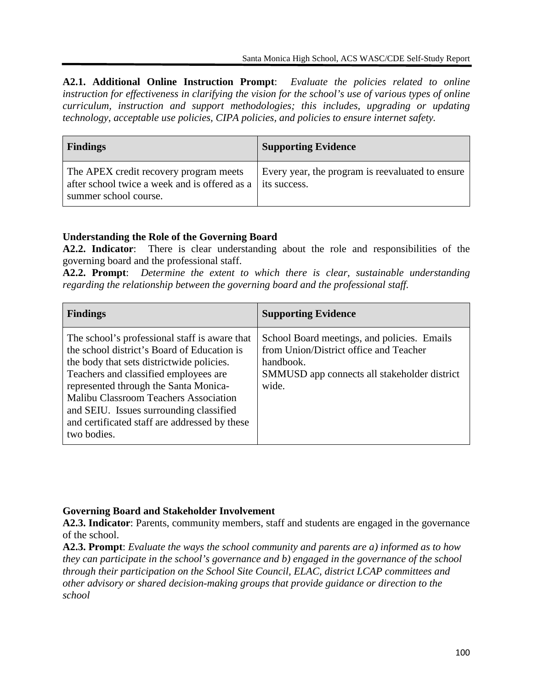**A2.1. Additional Online Instruction Prompt**: *Evaluate the policies related to online instruction for effectiveness in clarifying the vision for the school's use of various types of online curriculum, instruction and support methodologies; this includes, upgrading or updating technology, acceptable use policies, CIPA policies, and policies to ensure internet safety.*

| <b>Findings</b>                                                                                                  | <b>Supporting Evidence</b>                                       |
|------------------------------------------------------------------------------------------------------------------|------------------------------------------------------------------|
| The APEX credit recovery program meets<br>after school twice a week and is offered as a<br>summer school course. | Every year, the program is reevaluated to ensure<br>its success. |

# **Understanding the Role of the Governing Board**

**A2.2. Indicator**: There is clear understanding about the role and responsibilities of the governing board and the professional staff.

**A2.2. Prompt**: *Determine the extent to which there is clear, sustainable understanding regarding the relationship between the governing board and the professional staff.*

| <b>Findings</b>                                                                                                                                                                                                                                                                                                                                                                         | <b>Supporting Evidence</b>                                                                                                                                  |
|-----------------------------------------------------------------------------------------------------------------------------------------------------------------------------------------------------------------------------------------------------------------------------------------------------------------------------------------------------------------------------------------|-------------------------------------------------------------------------------------------------------------------------------------------------------------|
| The school's professional staff is aware that<br>the school district's Board of Education is<br>the body that sets district wide policies.<br>Teachers and classified employees are<br>represented through the Santa Monica-<br><b>Malibu Classroom Teachers Association</b><br>and SEIU. Issues surrounding classified<br>and certificated staff are addressed by these<br>two bodies. | School Board meetings, and policies. Emails<br>from Union/District office and Teacher<br>handbook.<br>SMMUSD app connects all stakeholder district<br>wide. |

#### **Governing Board and Stakeholder Involvement**

**A2.3. Indicator**: Parents, community members, staff and students are engaged in the governance of the school.

**A2.3. Prompt**: *Evaluate the ways the school community and parents are a) informed as to how they can participate in the school's governance and b) engaged in the governance of the school through their participation on the School Site Council, ELAC, district LCAP committees and other advisory or shared decision-making groups that provide guidance or direction to the school*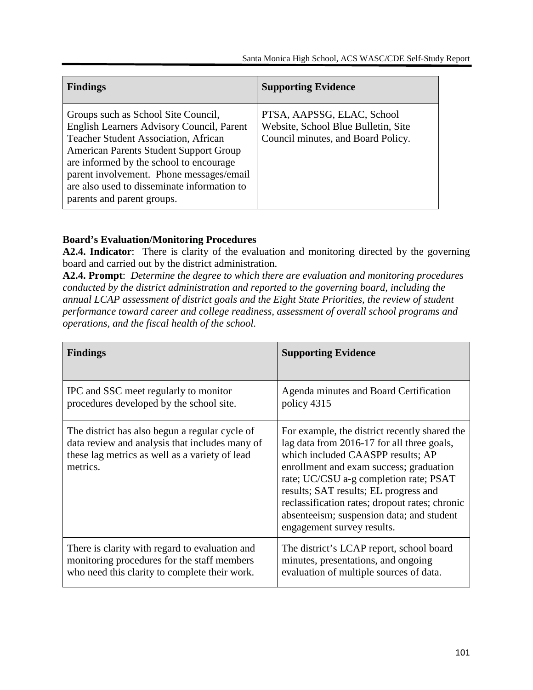| <b>Findings</b>                                                                                                                                                                                                                                                                                                                                      | <b>Supporting Evidence</b>                                                                              |
|------------------------------------------------------------------------------------------------------------------------------------------------------------------------------------------------------------------------------------------------------------------------------------------------------------------------------------------------------|---------------------------------------------------------------------------------------------------------|
| Groups such as School Site Council,<br>English Learners Advisory Council, Parent<br><b>Teacher Student Association, African</b><br><b>American Parents Student Support Group</b><br>are informed by the school to encourage<br>parent involvement. Phone messages/email<br>are also used to disseminate information to<br>parents and parent groups. | PTSA, AAPSSG, ELAC, School<br>Website, School Blue Bulletin, Site<br>Council minutes, and Board Policy. |

# **Board's Evaluation/Monitoring Procedures**

**A2.4. Indicator**: There is clarity of the evaluation and monitoring directed by the governing board and carried out by the district administration.

**A2.4. Prompt**: *Determine the degree to which there are evaluation and monitoring procedures conducted by the district administration and reported to the governing board, including the annual LCAP assessment of district goals and the Eight State Priorities, the review of student performance toward career and college readiness, assessment of overall school programs and operations, and the fiscal health of the school.*

| <b>Findings</b>                                                                                                                                                | <b>Supporting Evidence</b>                                                                                                                                                                                                                                                                                                                                                                  |
|----------------------------------------------------------------------------------------------------------------------------------------------------------------|---------------------------------------------------------------------------------------------------------------------------------------------------------------------------------------------------------------------------------------------------------------------------------------------------------------------------------------------------------------------------------------------|
| IPC and SSC meet regularly to monitor                                                                                                                          | Agenda minutes and Board Certification                                                                                                                                                                                                                                                                                                                                                      |
| procedures developed by the school site.                                                                                                                       | policy 4315                                                                                                                                                                                                                                                                                                                                                                                 |
| The district has also begun a regular cycle of<br>data review and analysis that includes many of<br>these lag metrics as well as a variety of lead<br>metrics. | For example, the district recently shared the<br>lag data from 2016-17 for all three goals,<br>which included CAASPP results; AP<br>enrollment and exam success; graduation<br>rate; UC/CSU a-g completion rate; PSAT<br>results; SAT results; EL progress and<br>reclassification rates; dropout rates; chronic<br>absenteeism; suspension data; and student<br>engagement survey results. |
| There is clarity with regard to evaluation and                                                                                                                 | The district's LCAP report, school board                                                                                                                                                                                                                                                                                                                                                    |
| monitoring procedures for the staff members                                                                                                                    | minutes, presentations, and ongoing                                                                                                                                                                                                                                                                                                                                                         |
| who need this clarity to complete their work.                                                                                                                  | evaluation of multiple sources of data.                                                                                                                                                                                                                                                                                                                                                     |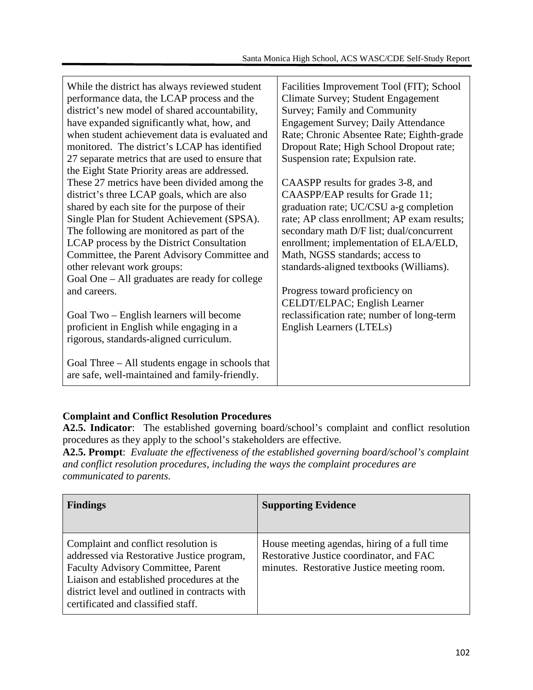| While the district has always reviewed student<br>performance data, the LCAP process and the<br>district's new model of shared accountability,<br>have expanded significantly what, how, and<br>when student achievement data is evaluated and<br>monitored. The district's LCAP has identified<br>27 separate metrics that are used to ensure that<br>the Eight State Priority areas are addressed.                                   | Facilities Improvement Tool (FIT); School<br>Climate Survey; Student Engagement<br>Survey; Family and Community<br><b>Engagement Survey; Daily Attendance</b><br>Rate; Chronic Absentee Rate; Eighth-grade<br>Dropout Rate; High School Dropout rate;<br>Suspension rate; Expulsion rate.                                                                                                             |
|----------------------------------------------------------------------------------------------------------------------------------------------------------------------------------------------------------------------------------------------------------------------------------------------------------------------------------------------------------------------------------------------------------------------------------------|-------------------------------------------------------------------------------------------------------------------------------------------------------------------------------------------------------------------------------------------------------------------------------------------------------------------------------------------------------------------------------------------------------|
| These 27 metrics have been divided among the<br>district's three LCAP goals, which are also<br>shared by each site for the purpose of their<br>Single Plan for Student Achievement (SPSA).<br>The following are monitored as part of the<br>LCAP process by the District Consultation<br>Committee, the Parent Advisory Committee and<br>other relevant work groups:<br>Goal One – All graduates are ready for college<br>and careers. | CAASPP results for grades 3-8, and<br>CAASPP/EAP results for Grade 11;<br>graduation rate; UC/CSU a-g completion<br>rate; AP class enrollment; AP exam results;<br>secondary math D/F list; dual/concurrent<br>enrollment; implementation of ELA/ELD,<br>Math, NGSS standards; access to<br>standards-aligned textbooks (Williams).<br>Progress toward proficiency on<br>CELDT/ELPAC; English Learner |
| Goal Two – English learners will become<br>proficient in English while engaging in a<br>rigorous, standards-aligned curriculum.<br>Goal Three – All students engage in schools that                                                                                                                                                                                                                                                    | reclassification rate; number of long-term<br>English Learners (LTELs)                                                                                                                                                                                                                                                                                                                                |
| are safe, well-maintained and family-friendly.                                                                                                                                                                                                                                                                                                                                                                                         |                                                                                                                                                                                                                                                                                                                                                                                                       |

## **Complaint and Conflict Resolution Procedures**

**A2.5. Indicator**: The established governing board/school's complaint and conflict resolution procedures as they apply to the school's stakeholders are effective.

**A2.5. Prompt**: *Evaluate the effectiveness of the established governing board/school's complaint and conflict resolution procedures, including the ways the complaint procedures are communicated to parents.*

| <b>Findings</b>                                                                                                                                                                                                                                                     | <b>Supporting Evidence</b>                                                                                                             |
|---------------------------------------------------------------------------------------------------------------------------------------------------------------------------------------------------------------------------------------------------------------------|----------------------------------------------------------------------------------------------------------------------------------------|
| Complaint and conflict resolution is<br>addressed via Restorative Justice program,<br><b>Faculty Advisory Committee, Parent</b><br>Liaison and established procedures at the<br>district level and outlined in contracts with<br>certificated and classified staff. | House meeting agendas, hiring of a full time<br>Restorative Justice coordinator, and FAC<br>minutes. Restorative Justice meeting room. |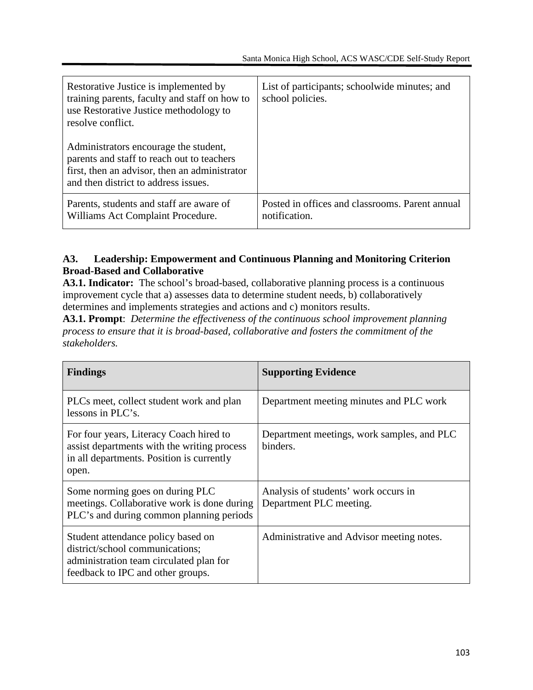| Restorative Justice is implemented by<br>training parents, faculty and staff on how to<br>use Restorative Justice methodology to<br>resolve conflict.                        | List of participants; schoolwide minutes; and<br>school policies. |
|------------------------------------------------------------------------------------------------------------------------------------------------------------------------------|-------------------------------------------------------------------|
| Administrators encourage the student,<br>parents and staff to reach out to teachers<br>first, then an advisor, then an administrator<br>and then district to address issues. |                                                                   |
| Parents, students and staff are aware of<br>Williams Act Complaint Procedure.                                                                                                | Posted in offices and classrooms. Parent annual<br>notification.  |

## **A3. Leadership: Empowerment and Continuous Planning and Monitoring Criterion Broad-Based and Collaborative**

A3.1. Indicator: The school's broad-based, collaborative planning process is a continuous improvement cycle that a) assesses data to determine student needs, b) collaboratively determines and implements strategies and actions and c) monitors results.

**A3.1. Prompt**: *Determine the effectiveness of the continuous school improvement planning process to ensure that it is broad-based, collaborative and fosters the commitment of the stakeholders.*

| <b>Findings</b>                                                                                                                                       | <b>Supporting Evidence</b>                                      |
|-------------------------------------------------------------------------------------------------------------------------------------------------------|-----------------------------------------------------------------|
| PLCs meet, collect student work and plan<br>lessons in PLC's.                                                                                         | Department meeting minutes and PLC work                         |
| For four years, Literacy Coach hired to<br>assist departments with the writing process<br>in all departments. Position is currently<br>open.          | Department meetings, work samples, and PLC<br>binders.          |
| Some norming goes on during PLC<br>meetings. Collaborative work is done during<br>PLC's and during common planning periods                            | Analysis of students' work occurs in<br>Department PLC meeting. |
| Student attendance policy based on<br>district/school communications;<br>administration team circulated plan for<br>feedback to IPC and other groups. | Administrative and Advisor meeting notes.                       |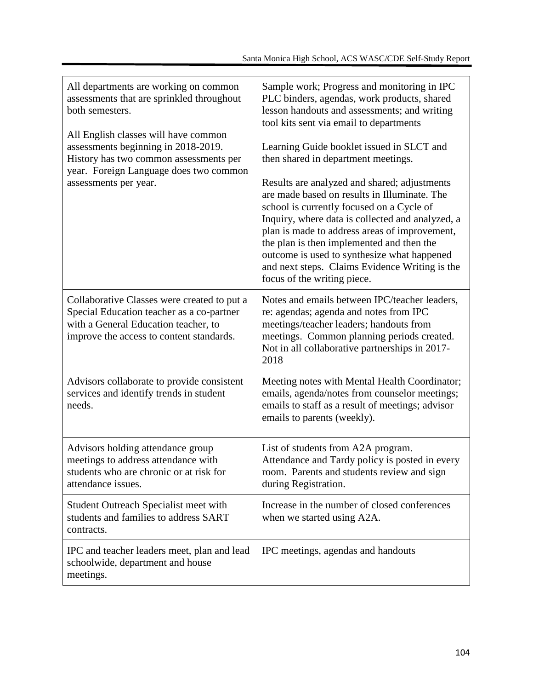| All departments are working on common<br>assessments that are sprinkled throughout<br>both semesters.<br>All English classes will have common<br>assessments beginning in 2018-2019.<br>History has two common assessments per<br>year. Foreign Language does two common<br>assessments per year. | Sample work; Progress and monitoring in IPC<br>PLC binders, agendas, work products, shared<br>lesson handouts and assessments; and writing<br>tool kits sent via email to departments<br>Learning Guide booklet issued in SLCT and<br>then shared in department meetings.<br>Results are analyzed and shared; adjustments<br>are made based on results in Illuminate. The<br>school is currently focused on a Cycle of<br>Inquiry, where data is collected and analyzed, a<br>plan is made to address areas of improvement,<br>the plan is then implemented and then the<br>outcome is used to synthesize what happened<br>and next steps. Claims Evidence Writing is the<br>focus of the writing piece. |
|---------------------------------------------------------------------------------------------------------------------------------------------------------------------------------------------------------------------------------------------------------------------------------------------------|----------------------------------------------------------------------------------------------------------------------------------------------------------------------------------------------------------------------------------------------------------------------------------------------------------------------------------------------------------------------------------------------------------------------------------------------------------------------------------------------------------------------------------------------------------------------------------------------------------------------------------------------------------------------------------------------------------|
| Collaborative Classes were created to put a<br>Special Education teacher as a co-partner<br>with a General Education teacher, to<br>improve the access to content standards.                                                                                                                      | Notes and emails between IPC/teacher leaders,<br>re: agendas; agenda and notes from IPC<br>meetings/teacher leaders; handouts from<br>meetings. Common planning periods created.<br>Not in all collaborative partnerships in 2017-<br>2018                                                                                                                                                                                                                                                                                                                                                                                                                                                               |
| Advisors collaborate to provide consistent<br>services and identify trends in student<br>needs.                                                                                                                                                                                                   | Meeting notes with Mental Health Coordinator;<br>emails, agenda/notes from counselor meetings;<br>emails to staff as a result of meetings; advisor<br>emails to parents (weekly).                                                                                                                                                                                                                                                                                                                                                                                                                                                                                                                        |
| Advisors holding attendance group<br>meetings to address attendance with<br>students who are chronic or at risk for<br>attendance issues.                                                                                                                                                         | List of students from A2A program.<br>Attendance and Tardy policy is posted in every<br>room. Parents and students review and sign<br>during Registration.                                                                                                                                                                                                                                                                                                                                                                                                                                                                                                                                               |
| <b>Student Outreach Specialist meet with</b><br>students and families to address SART<br>contracts.                                                                                                                                                                                               | Increase in the number of closed conferences<br>when we started using A2A.                                                                                                                                                                                                                                                                                                                                                                                                                                                                                                                                                                                                                               |
| IPC and teacher leaders meet, plan and lead<br>schoolwide, department and house<br>meetings.                                                                                                                                                                                                      | IPC meetings, agendas and handouts                                                                                                                                                                                                                                                                                                                                                                                                                                                                                                                                                                                                                                                                       |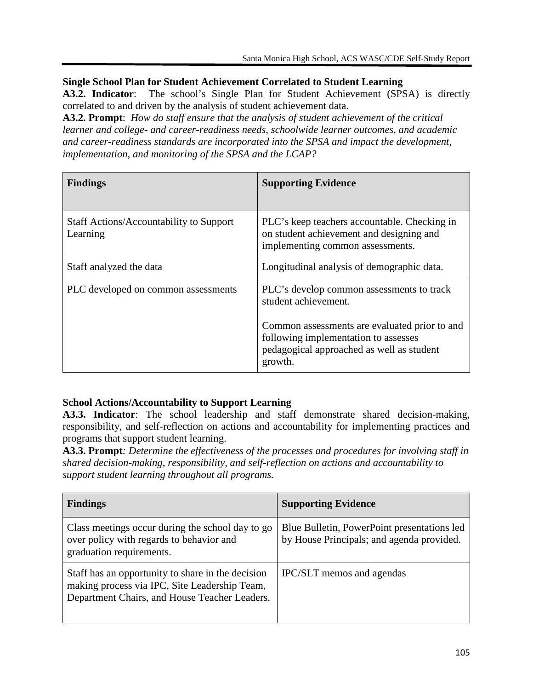#### **Single School Plan for Student Achievement Correlated to Student Learning**

**A3.2. Indicator**: The school's Single Plan for Student Achievement (SPSA) is directly correlated to and driven by the analysis of student achievement data.

**A3.2. Prompt**: *How do staff ensure that the analysis of student achievement of the critical learner and college- and career-readiness needs, schoolwide learner outcomes, and academic and career-readiness standards are incorporated into the SPSA and impact the development, implementation, and monitoring of the SPSA and the LCAP?*

| <b>Findings</b>                                            | <b>Supporting Evidence</b>                                                                                                                    |
|------------------------------------------------------------|-----------------------------------------------------------------------------------------------------------------------------------------------|
| <b>Staff Actions/Accountability to Support</b><br>Learning | PLC's keep teachers accountable. Checking in<br>on student achievement and designing and<br>implementing common assessments.                  |
| Staff analyzed the data                                    | Longitudinal analysis of demographic data.                                                                                                    |
| PLC developed on common assessments                        | PLC's develop common assessments to track<br>student achievement.                                                                             |
|                                                            | Common assessments are evaluated prior to and<br>following implementation to assesses<br>pedagogical approached as well as student<br>growth. |

## **School Actions/Accountability to Support Learning**

**A3.3. Indicator**: The school leadership and staff demonstrate shared decision-making, responsibility, and self-reflection on actions and accountability for implementing practices and programs that support student learning.

**A3.3. Prompt***: Determine the effectiveness of the processes and procedures for involving staff in shared decision-making, responsibility, and self-reflection on actions and accountability to support student learning throughout all programs.*

| <b>Findings</b>                                                                                                                                     | <b>Supporting Evidence</b>                                                               |
|-----------------------------------------------------------------------------------------------------------------------------------------------------|------------------------------------------------------------------------------------------|
| Class meetings occur during the school day to go<br>over policy with regards to behavior and<br>graduation requirements.                            | Blue Bulletin, PowerPoint presentations led<br>by House Principals; and agenda provided. |
| Staff has an opportunity to share in the decision<br>making process via IPC, Site Leadership Team,<br>Department Chairs, and House Teacher Leaders. | IPC/SLT memos and agendas                                                                |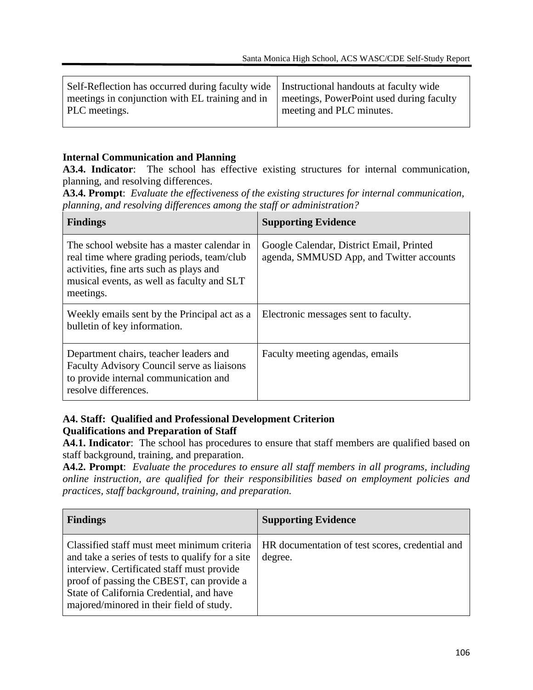| Self-Reflection has occurred during faculty wide   Instructional handouts at faculty wide<br>meetings in conjunction with EL training and in<br>PLC meetings. | meetings, PowerPoint used during faculty<br>meeting and PLC minutes. |
|---------------------------------------------------------------------------------------------------------------------------------------------------------------|----------------------------------------------------------------------|
|                                                                                                                                                               |                                                                      |

#### **Internal Communication and Planning**

**A3.4. Indicator**: The school has effective existing structures for internal communication, planning, and resolving differences.

**A3.4. Prompt**: *Evaluate the effectiveness of the existing structures for internal communication, planning, and resolving differences among the staff or administration?*

| <b>Findings</b>                                                                                                                                                                                 | <b>Supporting Evidence</b>                                                           |
|-------------------------------------------------------------------------------------------------------------------------------------------------------------------------------------------------|--------------------------------------------------------------------------------------|
| The school website has a master calendar in<br>real time where grading periods, team/club<br>activities, fine arts such as plays and<br>musical events, as well as faculty and SLT<br>meetings. | Google Calendar, District Email, Printed<br>agenda, SMMUSD App, and Twitter accounts |
| Weekly emails sent by the Principal act as a<br>bulletin of key information.                                                                                                                    | Electronic messages sent to faculty.                                                 |
| Department chairs, teacher leaders and<br>Faculty Advisory Council serve as liaisons<br>to provide internal communication and<br>resolve differences.                                           | Faculty meeting agendas, emails                                                      |

#### **A4. Staff: Qualified and Professional Development Criterion Qualifications and Preparation of Staff**

**A4.1. Indicator**: The school has procedures to ensure that staff members are qualified based on staff background, training, and preparation.

**A4.2. Prompt**: *Evaluate the procedures to ensure all staff members in all programs, including online instruction, are qualified for their responsibilities based on employment policies and practices, staff background, training, and preparation.*

| <b>Findings</b>                                                                                                                                                                                                                                                                    | <b>Supporting Evidence</b>                                 |
|------------------------------------------------------------------------------------------------------------------------------------------------------------------------------------------------------------------------------------------------------------------------------------|------------------------------------------------------------|
| Classified staff must meet minimum criteria<br>and take a series of tests to qualify for a site<br>interview. Certificated staff must provide<br>proof of passing the CBEST, can provide a<br>State of California Credential, and have<br>majored/minored in their field of study. | HR documentation of test scores, credential and<br>degree. |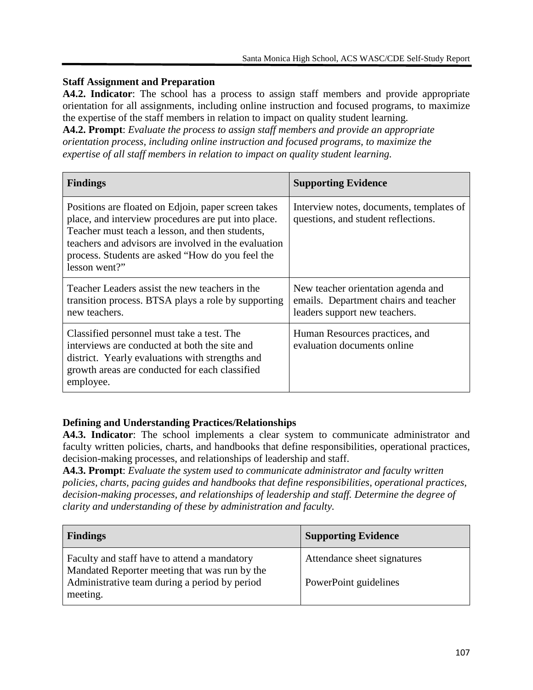#### **Staff Assignment and Preparation**

**A4.2. Indicator**: The school has a process to assign staff members and provide appropriate orientation for all assignments, including online instruction and focused programs, to maximize the expertise of the staff members in relation to impact on quality student learning.

**A4.2. Prompt**: *Evaluate the process to assign staff members and provide an appropriate orientation process, including online instruction and focused programs, to maximize the expertise of all staff members in relation to impact on quality student learning.*

| <b>Findings</b>                                                                                                                                                                                                                                                                            | <b>Supporting Evidence</b>                                                                                   |
|--------------------------------------------------------------------------------------------------------------------------------------------------------------------------------------------------------------------------------------------------------------------------------------------|--------------------------------------------------------------------------------------------------------------|
| Positions are floated on Edjoin, paper screen takes<br>place, and interview procedures are put into place.<br>Teacher must teach a lesson, and then students,<br>teachers and advisors are involved in the evaluation<br>process. Students are asked "How do you feel the<br>lesson went?" | Interview notes, documents, templates of<br>questions, and student reflections.                              |
| Teacher Leaders assist the new teachers in the<br>transition process. BTSA plays a role by supporting<br>new teachers.                                                                                                                                                                     | New teacher orientation agenda and<br>emails. Department chairs and teacher<br>leaders support new teachers. |
| Classified personnel must take a test. The<br>interviews are conducted at both the site and<br>district. Yearly evaluations with strengths and<br>growth areas are conducted for each classified<br>employee.                                                                              | Human Resources practices, and<br>evaluation documents online                                                |

## **Defining and Understanding Practices/Relationships**

**A4.3. Indicator**: The school implements a clear system to communicate administrator and faculty written policies, charts, and handbooks that define responsibilities, operational practices, decision-making processes, and relationships of leadership and staff.

**A4.3. Prompt**: *Evaluate the system used to communicate administrator and faculty written policies, charts, pacing guides and handbooks that define responsibilities, operational practices, decision-making processes, and relationships of leadership and staff. Determine the degree of clarity and understanding of these by administration and faculty.*

| <b>Findings</b>                                                                               | <b>Supporting Evidence</b>  |
|-----------------------------------------------------------------------------------------------|-----------------------------|
| Faculty and staff have to attend a mandatory<br>Mandated Reporter meeting that was run by the | Attendance sheet signatures |
| Administrative team during a period by period<br>meeting.                                     | PowerPoint guidelines       |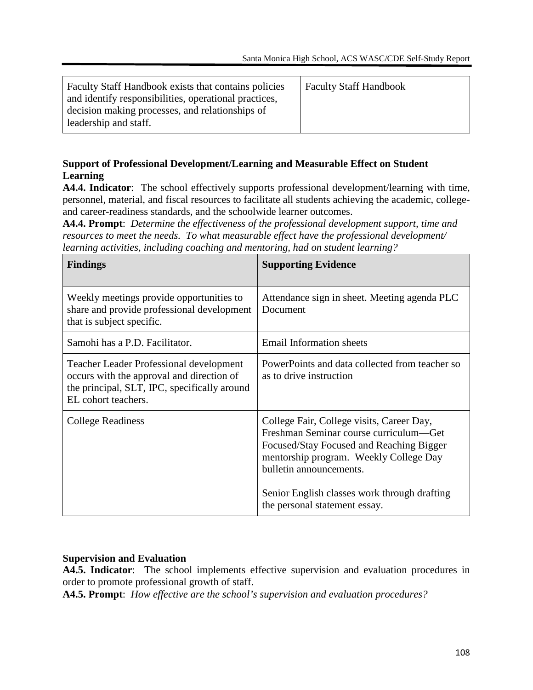| Faculty Staff Handbook exists that contains policies  | <b>Faculty Staff Handbook</b> |
|-------------------------------------------------------|-------------------------------|
| and identify responsibilities, operational practices, |                               |
| decision making processes, and relationships of       |                               |
| leadership and staff.                                 |                               |
|                                                       |                               |

## **Support of Professional Development/Learning and Measurable Effect on Student Learning**

**A4.4. Indicator**: The school effectively supports professional development/learning with time, personnel, material, and fiscal resources to facilitate all students achieving the academic, collegeand career-readiness standards, and the schoolwide learner outcomes.

**A4.4. Prompt**: *Determine the effectiveness of the professional development support, time and resources to meet the needs. To what measurable effect have the professional development/ learning activities, including coaching and mentoring, had on student learning?*

| <b>Findings</b>                                                                                                                                                    | <b>Supporting Evidence</b>                                                                                                                                                                                                                                                            |
|--------------------------------------------------------------------------------------------------------------------------------------------------------------------|---------------------------------------------------------------------------------------------------------------------------------------------------------------------------------------------------------------------------------------------------------------------------------------|
| Weekly meetings provide opportunities to<br>share and provide professional development<br>that is subject specific.                                                | Attendance sign in sheet. Meeting agenda PLC<br>Document                                                                                                                                                                                                                              |
| Samohi has a P.D. Facilitator.                                                                                                                                     | <b>Email Information sheets</b>                                                                                                                                                                                                                                                       |
| <b>Teacher Leader Professional development</b><br>occurs with the approval and direction of<br>the principal, SLT, IPC, specifically around<br>EL cohort teachers. | PowerPoints and data collected from teacher so<br>as to drive instruction                                                                                                                                                                                                             |
| <b>College Readiness</b>                                                                                                                                           | College Fair, College visits, Career Day,<br>Freshman Seminar course curriculum—Get<br>Focused/Stay Focused and Reaching Bigger<br>mentorship program. Weekly College Day<br>bulletin announcements.<br>Senior English classes work through drafting<br>the personal statement essay. |

## **Supervision and Evaluation**

**A4.5. Indicator**: The school implements effective supervision and evaluation procedures in order to promote professional growth of staff.

**A4.5. Prompt**: *How effective are the school's supervision and evaluation procedures?*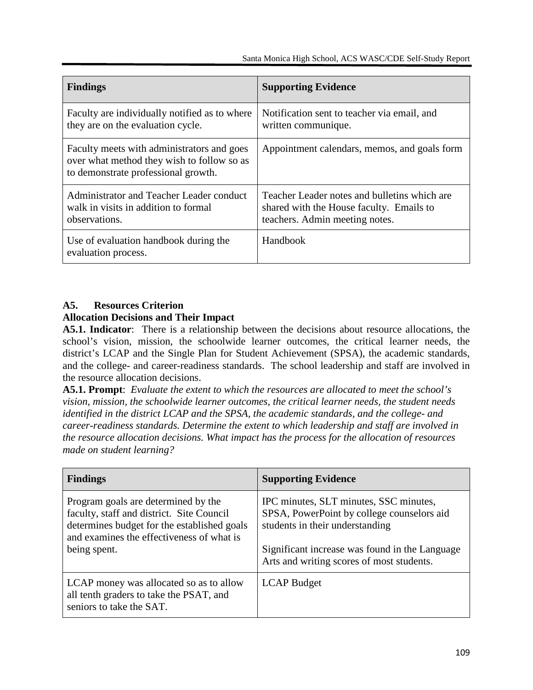| <b>Findings</b>                                                                                                                 | <b>Supporting Evidence</b>                                                                                                 |
|---------------------------------------------------------------------------------------------------------------------------------|----------------------------------------------------------------------------------------------------------------------------|
| Faculty are individually notified as to where<br>they are on the evaluation cycle.                                              | Notification sent to teacher via email, and<br>written communique.                                                         |
| Faculty meets with administrators and goes<br>over what method they wish to follow so as<br>to demonstrate professional growth. | Appointment calendars, memos, and goals form                                                                               |
| Administrator and Teacher Leader conduct<br>walk in visits in addition to formal<br>observations.                               | Teacher Leader notes and bulletins which are<br>shared with the House faculty. Emails to<br>teachers. Admin meeting notes. |
| Use of evaluation handbook during the<br>evaluation process.                                                                    | Handbook                                                                                                                   |

## **A5. Resources Criterion**

#### **Allocation Decisions and Their Impact**

**A5.1. Indicator**: There is a relationship between the decisions about resource allocations, the school's vision, mission, the schoolwide learner outcomes, the critical learner needs, the district's LCAP and the Single Plan for Student Achievement (SPSA), the academic standards, and the college- and career-readiness standards. The school leadership and staff are involved in the resource allocation decisions.

**A5.1. Prompt**: *Evaluate the extent to which the resources are allocated to meet the school's vision, mission, the schoolwide learner outcomes, the critical learner needs, the student needs identified in the district LCAP and the SPSA, the academic standards, and the college- and career-readiness standards. Determine the extent to which leadership and staff are involved in the resource allocation decisions. What impact has the process for the allocation of resources made on student learning?*

| <b>Findings</b>                                                                                                                                                              | <b>Supporting Evidence</b>                                                                                              |
|------------------------------------------------------------------------------------------------------------------------------------------------------------------------------|-------------------------------------------------------------------------------------------------------------------------|
| Program goals are determined by the<br>faculty, staff and district. Site Council<br>determines budget for the established goals<br>and examines the effectiveness of what is | IPC minutes, SLT minutes, SSC minutes,<br>SPSA, PowerPoint by college counselors aid<br>students in their understanding |
| being spent.                                                                                                                                                                 | Significant increase was found in the Language<br>Arts and writing scores of most students.                             |
| LCAP money was allocated so as to allow<br>all tenth graders to take the PSAT, and<br>seniors to take the SAT.                                                               | <b>LCAP</b> Budget                                                                                                      |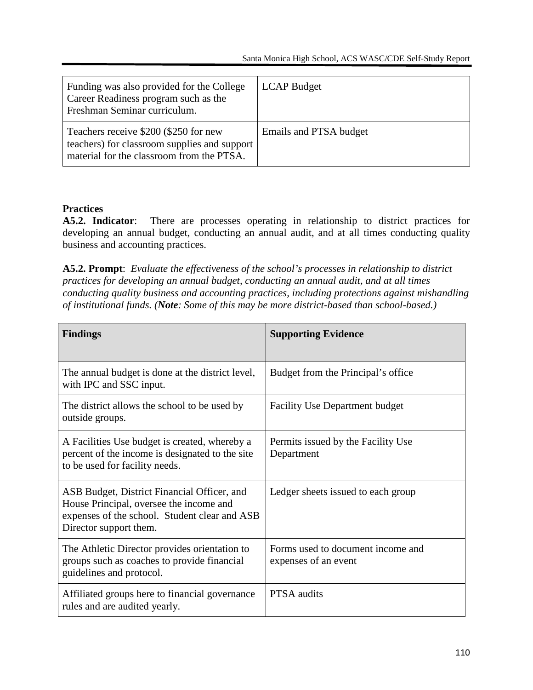| Funding was also provided for the College<br>Career Readiness program such as the<br>Freshman Seminar curriculum.                  | <b>LCAP</b> Budget     |
|------------------------------------------------------------------------------------------------------------------------------------|------------------------|
| Teachers receive \$200 (\$250 for new<br>teachers) for classroom supplies and support<br>material for the classroom from the PTSA. | Emails and PTSA budget |

#### **Practices**

**A5.2. Indicator**: There are processes operating in relationship to district practices for developing an annual budget, conducting an annual audit, and at all times conducting quality business and accounting practices.

**A5.2. Prompt**: *Evaluate the effectiveness of the school's processes in relationship to district practices for developing an annual budget, conducting an annual audit, and at all times conducting quality business and accounting practices, including protections against mishandling of institutional funds. (Note: Some of this may be more district-based than school-based.)*

| <b>Findings</b>                                                                                                                                                   | <b>Supporting Evidence</b>                                |
|-------------------------------------------------------------------------------------------------------------------------------------------------------------------|-----------------------------------------------------------|
| The annual budget is done at the district level,<br>with IPC and SSC input.                                                                                       | Budget from the Principal's office                        |
| The district allows the school to be used by<br>outside groups.                                                                                                   | <b>Facility Use Department budget</b>                     |
| A Facilities Use budget is created, whereby a<br>percent of the income is designated to the site<br>to be used for facility needs.                                | Permits issued by the Facility Use<br>Department          |
| ASB Budget, District Financial Officer, and<br>House Principal, oversee the income and<br>expenses of the school. Student clear and ASB<br>Director support them. | Ledger sheets issued to each group                        |
| The Athletic Director provides orientation to<br>groups such as coaches to provide financial<br>guidelines and protocol.                                          | Forms used to document income and<br>expenses of an event |
| Affiliated groups here to financial governance<br>rules and are audited yearly.                                                                                   | <b>PTSA</b> audits                                        |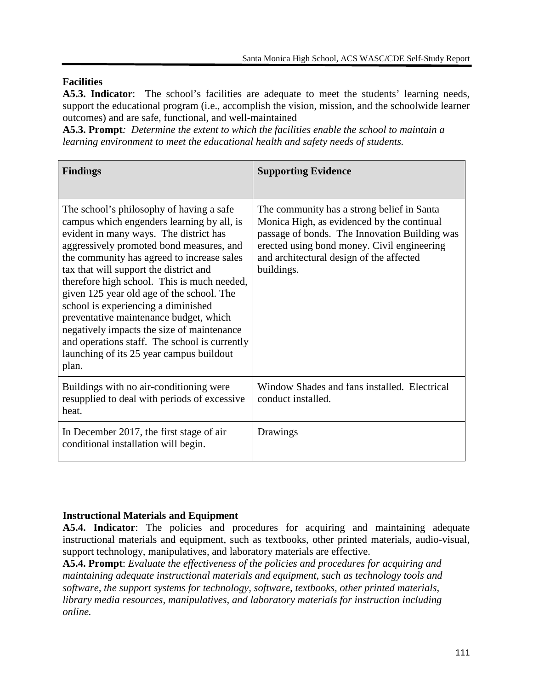## **Facilities**

**A5.3. Indicator**: The school's facilities are adequate to meet the students' learning needs, support the educational program (i.e., accomplish the vision, mission, and the schoolwide learner outcomes) and are safe, functional, and well-maintained

**A5.3. Prompt***: Determine the extent to which the facilities enable the school to maintain a learning environment to meet the educational health and safety needs of students.*

| <b>Findings</b>                                                                                                                                                                                                                                                                                                                                                                                                                                                                                                                                                                                       | <b>Supporting Evidence</b>                                                                                                                                                                                                                         |
|-------------------------------------------------------------------------------------------------------------------------------------------------------------------------------------------------------------------------------------------------------------------------------------------------------------------------------------------------------------------------------------------------------------------------------------------------------------------------------------------------------------------------------------------------------------------------------------------------------|----------------------------------------------------------------------------------------------------------------------------------------------------------------------------------------------------------------------------------------------------|
| The school's philosophy of having a safe<br>campus which engenders learning by all, is<br>evident in many ways. The district has<br>aggressively promoted bond measures, and<br>the community has agreed to increase sales<br>tax that will support the district and<br>therefore high school. This is much needed,<br>given 125 year old age of the school. The<br>school is experiencing a diminished<br>preventative maintenance budget, which<br>negatively impacts the size of maintenance<br>and operations staff. The school is currently<br>launching of its 25 year campus buildout<br>plan. | The community has a strong belief in Santa<br>Monica High, as evidenced by the continual<br>passage of bonds. The Innovation Building was<br>erected using bond money. Civil engineering<br>and architectural design of the affected<br>buildings. |
| Buildings with no air-conditioning were<br>resupplied to deal with periods of excessive<br>heat.                                                                                                                                                                                                                                                                                                                                                                                                                                                                                                      | Window Shades and fans installed. Electrical<br>conduct installed.                                                                                                                                                                                 |
| In December 2017, the first stage of air<br>conditional installation will begin.                                                                                                                                                                                                                                                                                                                                                                                                                                                                                                                      | Drawings                                                                                                                                                                                                                                           |

## **Instructional Materials and Equipment**

**A5.4. Indicator**: The policies and procedures for acquiring and maintaining adequate instructional materials and equipment, such as textbooks, other printed materials, audio-visual, support technology, manipulatives, and laboratory materials are effective.

**A5.4. Prompt**: *Evaluate the effectiveness of the policies and procedures for acquiring and maintaining adequate instructional materials and equipment, such as technology tools and software, the support systems for technology, software, textbooks, other printed materials, library media resources, manipulatives, and laboratory materials for instruction including online.*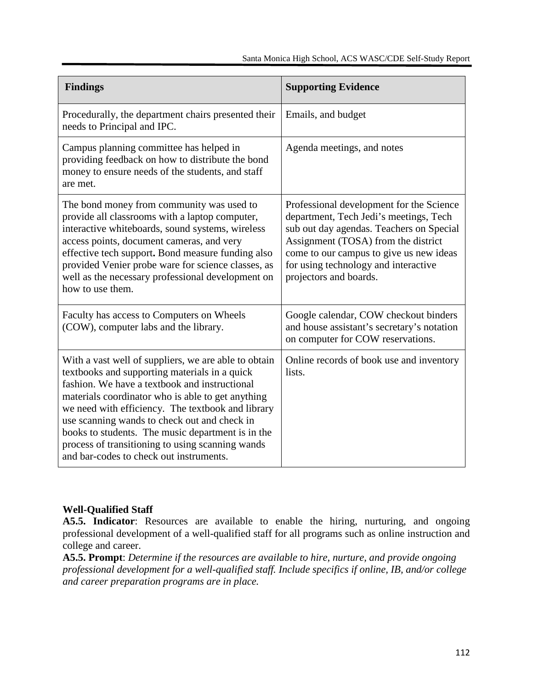| <b>Findings</b>                                                                                                                                                                                                                                                                                                                                                                                                                                                      | <b>Supporting Evidence</b>                                                                                                                                                                                                                                                         |
|----------------------------------------------------------------------------------------------------------------------------------------------------------------------------------------------------------------------------------------------------------------------------------------------------------------------------------------------------------------------------------------------------------------------------------------------------------------------|------------------------------------------------------------------------------------------------------------------------------------------------------------------------------------------------------------------------------------------------------------------------------------|
| Procedurally, the department chairs presented their<br>needs to Principal and IPC.                                                                                                                                                                                                                                                                                                                                                                                   | Emails, and budget                                                                                                                                                                                                                                                                 |
| Campus planning committee has helped in<br>providing feedback on how to distribute the bond<br>money to ensure needs of the students, and staff<br>are met.                                                                                                                                                                                                                                                                                                          | Agenda meetings, and notes                                                                                                                                                                                                                                                         |
| The bond money from community was used to<br>provide all classrooms with a laptop computer,<br>interactive whiteboards, sound systems, wireless<br>access points, document cameras, and very<br>effective tech support. Bond measure funding also<br>provided Venier probe ware for science classes, as<br>well as the necessary professional development on<br>how to use them.                                                                                     | Professional development for the Science<br>department, Tech Jedi's meetings, Tech<br>sub out day agendas. Teachers on Special<br>Assignment (TOSA) from the district<br>come to our campus to give us new ideas<br>for using technology and interactive<br>projectors and boards. |
| Faculty has access to Computers on Wheels<br>(COW), computer labs and the library.                                                                                                                                                                                                                                                                                                                                                                                   | Google calendar, COW checkout binders<br>and house assistant's secretary's notation<br>on computer for COW reservations.                                                                                                                                                           |
| With a vast well of suppliers, we are able to obtain<br>textbooks and supporting materials in a quick<br>fashion. We have a textbook and instructional<br>materials coordinator who is able to get anything<br>we need with efficiency. The textbook and library<br>use scanning wands to check out and check in<br>books to students. The music department is in the<br>process of transitioning to using scanning wands<br>and bar-codes to check out instruments. | Online records of book use and inventory<br>lists.                                                                                                                                                                                                                                 |

## **Well-Qualified Staff**

**A5.5. Indicator**: Resources are available to enable the hiring, nurturing, and ongoing professional development of a well-qualified staff for all programs such as online instruction and college and career.

**A5.5. Prompt**: *Determine if the resources are available to hire, nurture, and provide ongoing professional development for a well-qualified staff. Include specifics if online, IB, and/or college and career preparation programs are in place.*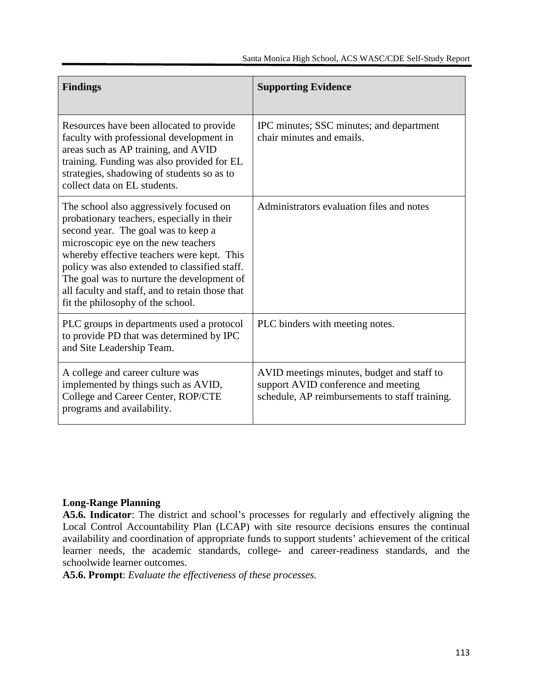| <b>Findings</b>                                                                                                                                                                                                                                                                                                                                                                                          | <b>Supporting Evidence</b>                                                                                                          |
|----------------------------------------------------------------------------------------------------------------------------------------------------------------------------------------------------------------------------------------------------------------------------------------------------------------------------------------------------------------------------------------------------------|-------------------------------------------------------------------------------------------------------------------------------------|
| Resources have been allocated to provide<br>faculty with professional development in<br>areas such as AP training, and AVID<br>training. Funding was also provided for EL<br>strategies, shadowing of students so as to<br>collect data on EL students.                                                                                                                                                  | IPC minutes; SSC minutes; and department<br>chair minutes and emails.                                                               |
| The school also aggressively focused on<br>probationary teachers, especially in their<br>second year. The goal was to keep a<br>microscopic eye on the new teachers<br>whereby effective teachers were kept. This<br>policy was also extended to classified staff.<br>The goal was to nurture the development of<br>all faculty and staff, and to retain those that<br>fit the philosophy of the school. | Administrators evaluation files and notes                                                                                           |
| PLC groups in departments used a protocol<br>to provide PD that was determined by IPC<br>and Site Leadership Team.                                                                                                                                                                                                                                                                                       | PLC binders with meeting notes.                                                                                                     |
| A college and career culture was<br>implemented by things such as AVID,<br>College and Career Center, ROP/CTE<br>programs and availability.                                                                                                                                                                                                                                                              | AVID meetings minutes, budget and staff to<br>support AVID conference and meeting<br>schedule, AP reimbursements to staff training. |

#### **Long-Range Planning**

**A5.6. Indicator**: The district and school's processes for regularly and effectively aligning the Local Control Accountability Plan (LCAP) with site resource decisions ensures the continual availability and coordination of appropriate funds to support students' achievement of the critical learner needs, the academic standards, college- and career-readiness standards, and the schoolwide learner outcomes.

**A5.6. Prompt**: *Evaluate the effectiveness of these processes.*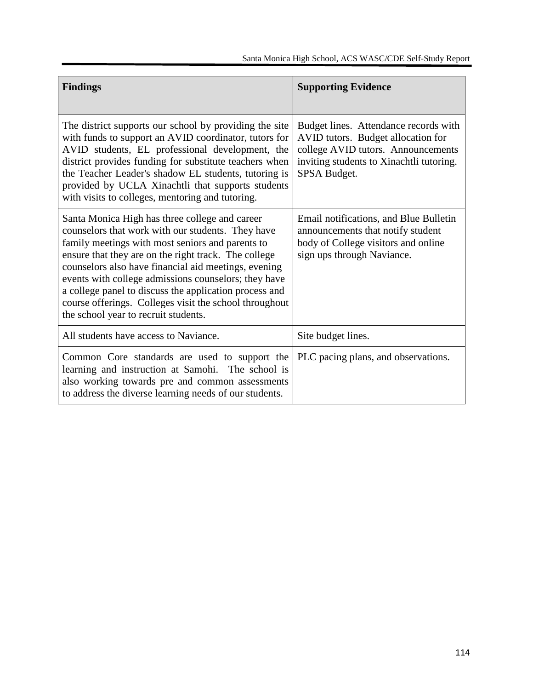| <b>Findings</b>                                                                                                                                                                                                                                                                                                                                                                                                                                                                             | <b>Supporting Evidence</b>                                                                                                                                                    |
|---------------------------------------------------------------------------------------------------------------------------------------------------------------------------------------------------------------------------------------------------------------------------------------------------------------------------------------------------------------------------------------------------------------------------------------------------------------------------------------------|-------------------------------------------------------------------------------------------------------------------------------------------------------------------------------|
| The district supports our school by providing the site<br>with funds to support an AVID coordinator, tutors for<br>AVID students, EL professional development, the<br>district provides funding for substitute teachers when<br>the Teacher Leader's shadow EL students, tutoring is<br>provided by UCLA Xinachtli that supports students<br>with visits to colleges, mentoring and tutoring.                                                                                               | Budget lines. Attendance records with<br>AVID tutors. Budget allocation for<br>college AVID tutors. Announcements<br>inviting students to Xinachtli tutoring.<br>SPSA Budget. |
| Santa Monica High has three college and career<br>counselors that work with our students. They have<br>family meetings with most seniors and parents to<br>ensure that they are on the right track. The college<br>counselors also have financial aid meetings, evening<br>events with college admissions counselors; they have<br>a college panel to discuss the application process and<br>course offerings. Colleges visit the school throughout<br>the school year to recruit students. | Email notifications, and Blue Bulletin<br>announcements that notify student<br>body of College visitors and online<br>sign ups through Naviance.                              |
| All students have access to Naviance.                                                                                                                                                                                                                                                                                                                                                                                                                                                       | Site budget lines.                                                                                                                                                            |
| Common Core standards are used to support the<br>learning and instruction at Samohi. The school is<br>also working towards pre and common assessments<br>to address the diverse learning needs of our students.                                                                                                                                                                                                                                                                             | PLC pacing plans, and observations.                                                                                                                                           |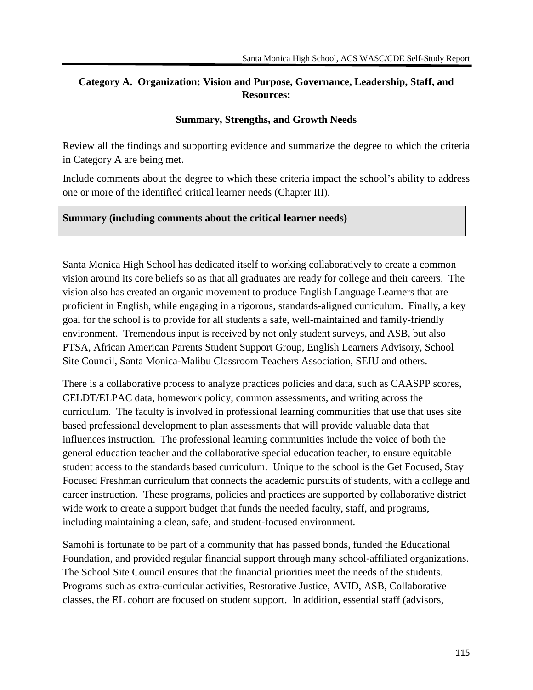### **Category A. Organization: Vision and Purpose, Governance, Leadership, Staff, and Resources:**

#### **Summary, Strengths, and Growth Needs**

Review all the findings and supporting evidence and summarize the degree to which the criteria in Category A are being met.

Include comments about the degree to which these criteria impact the school's ability to address one or more of the identified critical learner needs (Chapter III).

#### **Summary (including comments about the critical learner needs)**

Santa Monica High School has dedicated itself to working collaboratively to create a common vision around its core beliefs so as that all graduates are ready for college and their careers. The vision also has created an organic movement to produce English Language Learners that are proficient in English, while engaging in a rigorous, standards-aligned curriculum. Finally, a key goal for the school is to provide for all students a safe, well-maintained and family-friendly environment. Tremendous input is received by not only student surveys, and ASB, but also PTSA, African American Parents Student Support Group, English Learners Advisory, School Site Council, Santa Monica-Malibu Classroom Teachers Association, SEIU and others.

There is a collaborative process to analyze practices policies and data, such as CAASPP scores, CELDT/ELPAC data, homework policy, common assessments, and writing across the curriculum. The faculty is involved in professional learning communities that use that uses site based professional development to plan assessments that will provide valuable data that influences instruction. The professional learning communities include the voice of both the general education teacher and the collaborative special education teacher, to ensure equitable student access to the standards based curriculum. Unique to the school is the Get Focused, Stay Focused Freshman curriculum that connects the academic pursuits of students, with a college and career instruction. These programs, policies and practices are supported by collaborative district wide work to create a support budget that funds the needed faculty, staff, and programs, including maintaining a clean, safe, and student-focused environment.

Samohi is fortunate to be part of a community that has passed bonds, funded the Educational Foundation, and provided regular financial support through many school-affiliated organizations. The School Site Council ensures that the financial priorities meet the needs of the students. Programs such as extra-curricular activities, Restorative Justice, AVID, ASB, Collaborative classes, the EL cohort are focused on student support. In addition, essential staff (advisors,